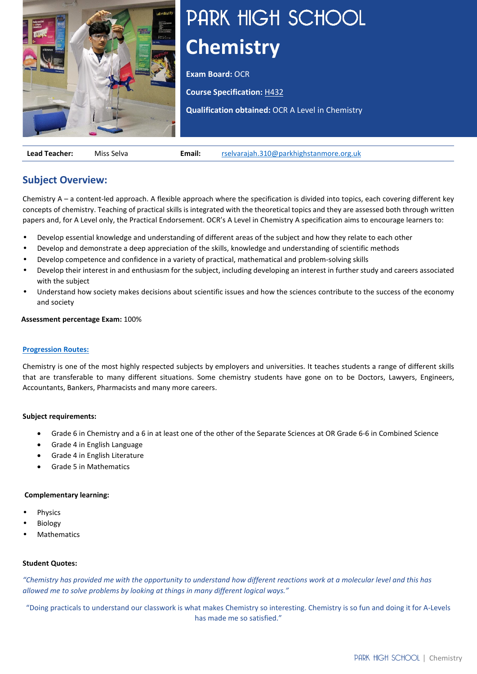

# PARK HIGH SCHOOL **Chemistry**

**Exam Board: OCR** 

**Course Specification:** [H432](https://www.ocr.org.uk/Images/171720-specification-accredited-a-level-gce-chemistry-a-h432.pdf)

**Qualification obtained:** OCR A Level in Chemistry

**Lead Teacher:** Miss Selva **Email:** [rselvarajah.310@parkhighstanmore.org.uk](mailto:rselvarajah.310@parkhighstanmore.org.uk)

# **Subject Overview:**

Chemistry A – a content-led approach. A flexible approach where the specification is divided into topics, each covering different key concepts of chemistry. Teaching of practical skills is integrated with the theoretical topics and they are assessed both through written papers and, for A Level only, the Practical Endorsement. OCR's A Level in Chemistry A specification aims to encourage learners to:

- Develop essential knowledge and understanding of different areas of the subject and how they relate to each other
- Develop and demonstrate a deep appreciation of the skills, knowledge and understanding of scientific methods
- Develop competence and confidence in a variety of practical, mathematical and problem-solving skills
- Develop their interest in and enthusiasm for the subject, including developing an interest in further study and careers associated with the subject
- Understand how society makes decisions about scientific issues and how the sciences contribute to the success of the economy and society

## **Assessment percentage Exam:** 100%

## **[Progression Routes:](https://www.parkhighstanmore.org.uk/careersandemploaybility/studentresources)**

Chemistry is one of the most highly respected subjects by employers and universities. It teaches students a range of different skills that are transferable to many different situations. Some chemistry students have gone on to be Doctors, Lawyers, Engineers, Accountants, Bankers, Pharmacists and many more careers.

## **Subject requirements:**

- Grade 6 in Chemistry and a 6 in at least one of the other of the Separate Sciences at OR Grade 6-6 in Combined Science
- Grade 4 in English Language
- Grade 4 in English Literature
- Grade 5 in Mathematics

## **Complementary learning:**

- **Physics**
- **Biology**
- **Mathematics**

## **Student Quotes:**

*"Chemistry has provided me with the opportunity to understand how different reactions work at a molecular level and this has allowed me to solve problems by looking at things in many different logical ways."*

"Doing practicals to understand our classwork is what makes Chemistry so interesting. Chemistry is so fun and doing it for A-Levels has made me so satisfied."